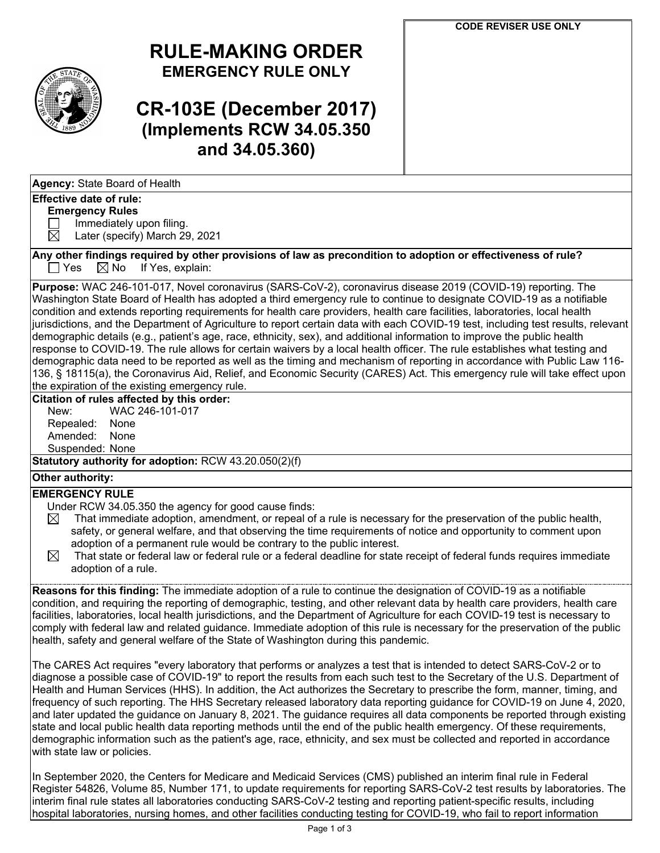

## **RULE-MAKING ORDER EMERGENCY RULE ONLY**

# **CR-103E (December 2017) (Implements RCW 34.05.350 and 34.05.360)**

#### **Effective date of rule:**

#### **Emergency Rules**

 $\Box$  Immediately upon filing.<br>  $\boxtimes$  Later (specify) March 29

Later (specify) March 29, 2021

**Any other findings required by other provisions of law as precondition to adoption or effectiveness of rule?**  $\Box$  Yes  $\Box$  No If Yes, explain:

**Purpose:** WAC 246-101-017, Novel coronavirus (SARS-CoV-2), coronavirus disease 2019 (COVID-19) reporting. The Washington State Board of Health has adopted a third emergency rule to continue to designate COVID-19 as a notifiable condition and extends reporting requirements for health care providers, health care facilities, laboratories, local health jurisdictions, and the Department of Agriculture to report certain data with each COVID-19 test, including test results, relevant demographic details (e.g., patient's age, race, ethnicity, sex), and additional information to improve the public health response to COVID-19. The rule allows for certain waivers by a local health officer. The rule establishes what testing and demographic data need to be reported as well as the timing and mechanism of reporting in accordance with Public Law 116- 136, § 18115(a), the Coronavirus Aid, Relief, and Economic Security (CARES) Act. This emergency rule will take effect upon the expiration of the existing emergency rule.

#### **Citation of rules affected by this order:**

| New:            | WAC 246-1 |
|-----------------|-----------|
| Repealed:       | None      |
| Amended:        | None      |
| Suspended: None |           |

**Statutory authority for adoption:** RCW 43.20.050(2)(f)

 $01 - 017$ 

### **Other authority:**

### **EMERGENCY RULE**

Under RCW 34.05.350 the agency for good cause finds:

- $\boxtimes$  That immediate adoption, amendment, or repeal of a rule is necessary for the preservation of the public health, safety, or general welfare, and that observing the time requirements of notice and opportunity to comment upon adoption of a permanent rule would be contrary to the public interest.
- $\boxtimes$  That state or federal law or federal rule or a federal deadline for state receipt of federal funds requires immediate adoption of a rule.

**Reasons for this finding:** The immediate adoption of a rule to continue the designation of COVID-19 as a notifiable condition, and requiring the reporting of demographic, testing, and other relevant data by health care providers, health care facilities, laboratories, local health jurisdictions, and the Department of Agriculture for each COVID-19 test is necessary to comply with federal law and related guidance. Immediate adoption of this rule is necessary for the preservation of the public health, safety and general welfare of the State of Washington during this pandemic.

The CARES Act requires "every laboratory that performs or analyzes a test that is intended to detect SARS-CoV-2 or to diagnose a possible case of COVID-19" to report the results from each such test to the Secretary of the U.S. Department of Health and Human Services (HHS). In addition, the Act authorizes the Secretary to prescribe the form, manner, timing, and frequency of such reporting. The HHS Secretary released laboratory data reporting guidance for COVID-19 on June 4, 2020, and later updated the guidance on January 8, 2021. The guidance requires all data components be reported through existing state and local public health data reporting methods until the end of the public health emergency. Of these requirements, demographic information such as the patient's age, race, ethnicity, and sex must be collected and reported in accordance with state law or policies.

In September 2020, the Centers for Medicare and Medicaid Services (CMS) published an interim final rule in Federal Register 54826, Volume 85, Number 171, to update requirements for reporting SARS-CoV-2 test results by laboratories. The interim final rule states all laboratories conducting SARS-CoV-2 testing and reporting patient-specific results, including hospital laboratories, nursing homes, and other facilities conducting testing for COVID-19, who fail to report information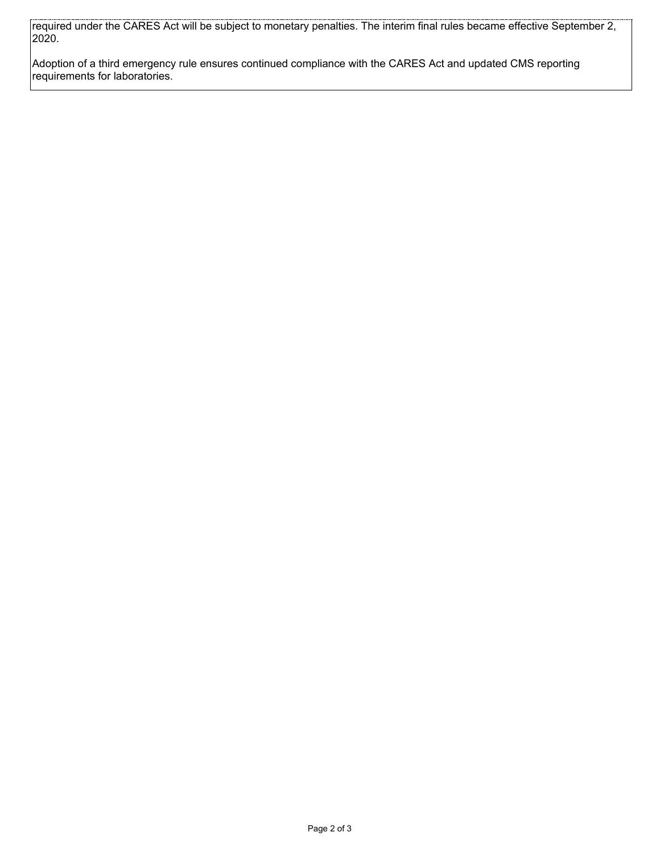required under the CARES Act will be subject to monetary penalties. The interim final rules became effective September 2, 2020.

Adoption of a third emergency rule ensures continued compliance with the CARES Act and updated CMS reporting requirements for laboratories.